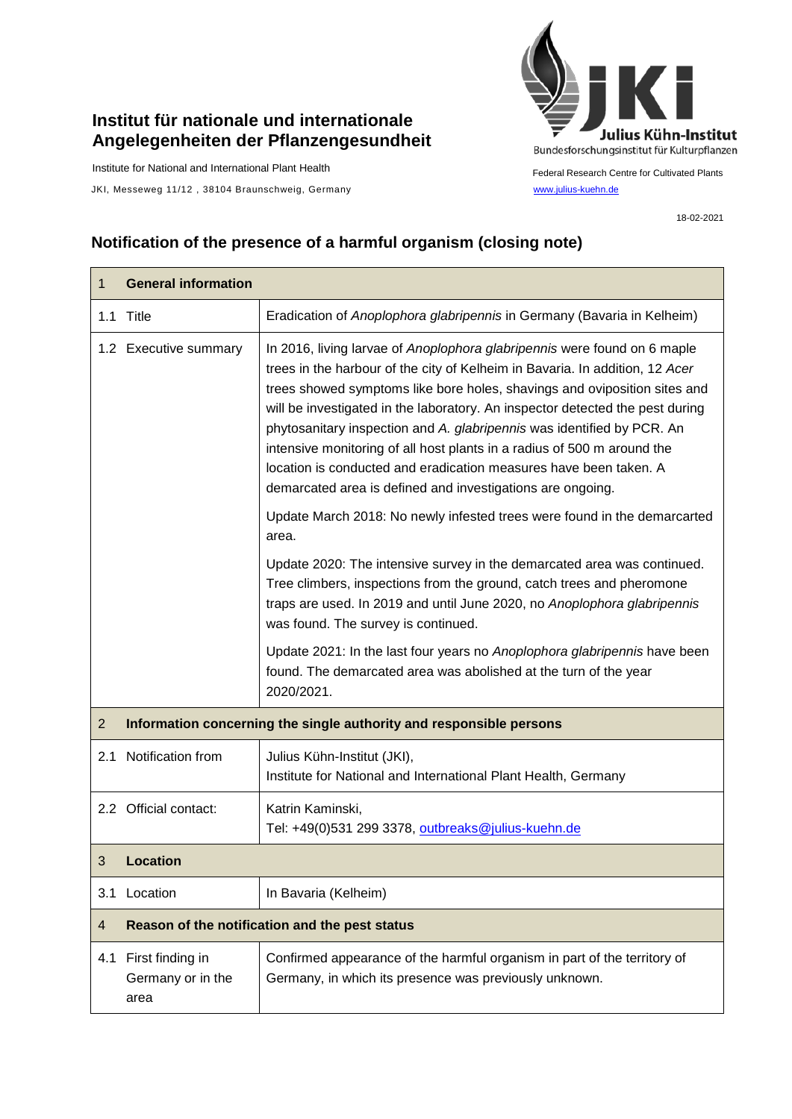## **Institut für nationale und internationale Angelegenheiten der Pflanzengesundheit**

Institute for National and International Plant Health

JKI, Messeweg 11/12, 38104 Braunschweig, Germany [www.julius-kuehn.de](http://www.julius-kuehn.de/)



Federal Research Centre for Cultivated Plants

18-02-2021

## **Notification of the presence of a harmful organism (closing note)**

| 1              | <b>General information</b>                                          |                                                                                                                                                                                                                                                                                                                                                                                                                                                                                                                                                                                                                |  |
|----------------|---------------------------------------------------------------------|----------------------------------------------------------------------------------------------------------------------------------------------------------------------------------------------------------------------------------------------------------------------------------------------------------------------------------------------------------------------------------------------------------------------------------------------------------------------------------------------------------------------------------------------------------------------------------------------------------------|--|
| 1.1            | Title                                                               | Eradication of Anoplophora glabripennis in Germany (Bavaria in Kelheim)                                                                                                                                                                                                                                                                                                                                                                                                                                                                                                                                        |  |
|                | 1.2 Executive summary                                               | In 2016, living larvae of Anoplophora glabripennis were found on 6 maple<br>trees in the harbour of the city of Kelheim in Bavaria. In addition, 12 Acer<br>trees showed symptoms like bore holes, shavings and oviposition sites and<br>will be investigated in the laboratory. An inspector detected the pest during<br>phytosanitary inspection and A. glabripennis was identified by PCR. An<br>intensive monitoring of all host plants in a radius of 500 m around the<br>location is conducted and eradication measures have been taken. A<br>demarcated area is defined and investigations are ongoing. |  |
|                |                                                                     | Update March 2018: No newly infested trees were found in the demarcarted<br>area.                                                                                                                                                                                                                                                                                                                                                                                                                                                                                                                              |  |
|                |                                                                     | Update 2020: The intensive survey in the demarcated area was continued.<br>Tree climbers, inspections from the ground, catch trees and pheromone<br>traps are used. In 2019 and until June 2020, no Anoplophora glabripennis<br>was found. The survey is continued.                                                                                                                                                                                                                                                                                                                                            |  |
|                |                                                                     | Update 2021: In the last four years no Anoplophora glabripennis have been<br>found. The demarcated area was abolished at the turn of the year<br>2020/2021.                                                                                                                                                                                                                                                                                                                                                                                                                                                    |  |
| $\overline{2}$ | Information concerning the single authority and responsible persons |                                                                                                                                                                                                                                                                                                                                                                                                                                                                                                                                                                                                                |  |
| 2.1            | Notification from                                                   | Julius Kühn-Institut (JKI),<br>Institute for National and International Plant Health, Germany                                                                                                                                                                                                                                                                                                                                                                                                                                                                                                                  |  |
|                | 2.2 Official contact:                                               | Katrin Kaminski,<br>Tel: +49(0)531 299 3378, outbreaks@julius-kuehn.de                                                                                                                                                                                                                                                                                                                                                                                                                                                                                                                                         |  |
| 3              | Location                                                            |                                                                                                                                                                                                                                                                                                                                                                                                                                                                                                                                                                                                                |  |
| 3.1            | Location                                                            | In Bavaria (Kelheim)                                                                                                                                                                                                                                                                                                                                                                                                                                                                                                                                                                                           |  |
| 4              | Reason of the notification and the pest status                      |                                                                                                                                                                                                                                                                                                                                                                                                                                                                                                                                                                                                                |  |
| 4.1            | First finding in<br>Germany or in the<br>area                       | Confirmed appearance of the harmful organism in part of the territory of<br>Germany, in which its presence was previously unknown.                                                                                                                                                                                                                                                                                                                                                                                                                                                                             |  |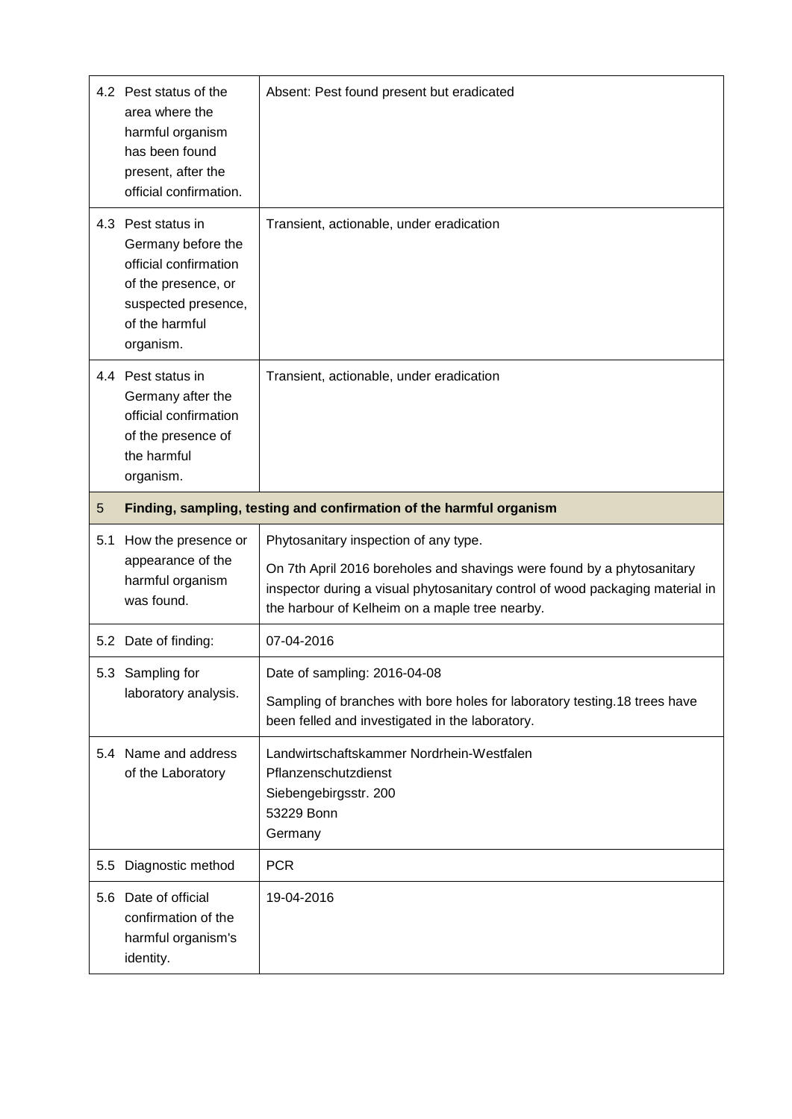|     | 4.2 Pest status of the<br>area where the<br>harmful organism<br>has been found<br>present, after the<br>official confirmation.                 | Absent: Pest found present but eradicated                                                                                                                                                                                                          |  |
|-----|------------------------------------------------------------------------------------------------------------------------------------------------|----------------------------------------------------------------------------------------------------------------------------------------------------------------------------------------------------------------------------------------------------|--|
|     | 4.3 Pest status in<br>Germany before the<br>official confirmation<br>of the presence, or<br>suspected presence,<br>of the harmful<br>organism. | Transient, actionable, under eradication                                                                                                                                                                                                           |  |
|     | 4.4 Pest status in<br>Germany after the<br>official confirmation<br>of the presence of<br>the harmful<br>organism.                             | Transient, actionable, under eradication                                                                                                                                                                                                           |  |
| 5   | Finding, sampling, testing and confirmation of the harmful organism                                                                            |                                                                                                                                                                                                                                                    |  |
|     |                                                                                                                                                |                                                                                                                                                                                                                                                    |  |
| 5.1 | How the presence or<br>appearance of the<br>harmful organism<br>was found.                                                                     | Phytosanitary inspection of any type.<br>On 7th April 2016 boreholes and shavings were found by a phytosanitary<br>inspector during a visual phytosanitary control of wood packaging material in<br>the harbour of Kelheim on a maple tree nearby. |  |
|     | 5.2 Date of finding:                                                                                                                           | 07-04-2016                                                                                                                                                                                                                                         |  |
|     | 5.3 Sampling for<br>laboratory analysis.                                                                                                       | Date of sampling: 2016-04-08<br>Sampling of branches with bore holes for laboratory testing.18 trees have<br>been felled and investigated in the laboratory.                                                                                       |  |
|     | 5.4 Name and address<br>of the Laboratory                                                                                                      | Landwirtschaftskammer Nordrhein-Westfalen<br>Pflanzenschutzdienst<br>Siebengebirgsstr. 200<br>53229 Bonn<br>Germany                                                                                                                                |  |
| 5.5 | Diagnostic method                                                                                                                              | <b>PCR</b>                                                                                                                                                                                                                                         |  |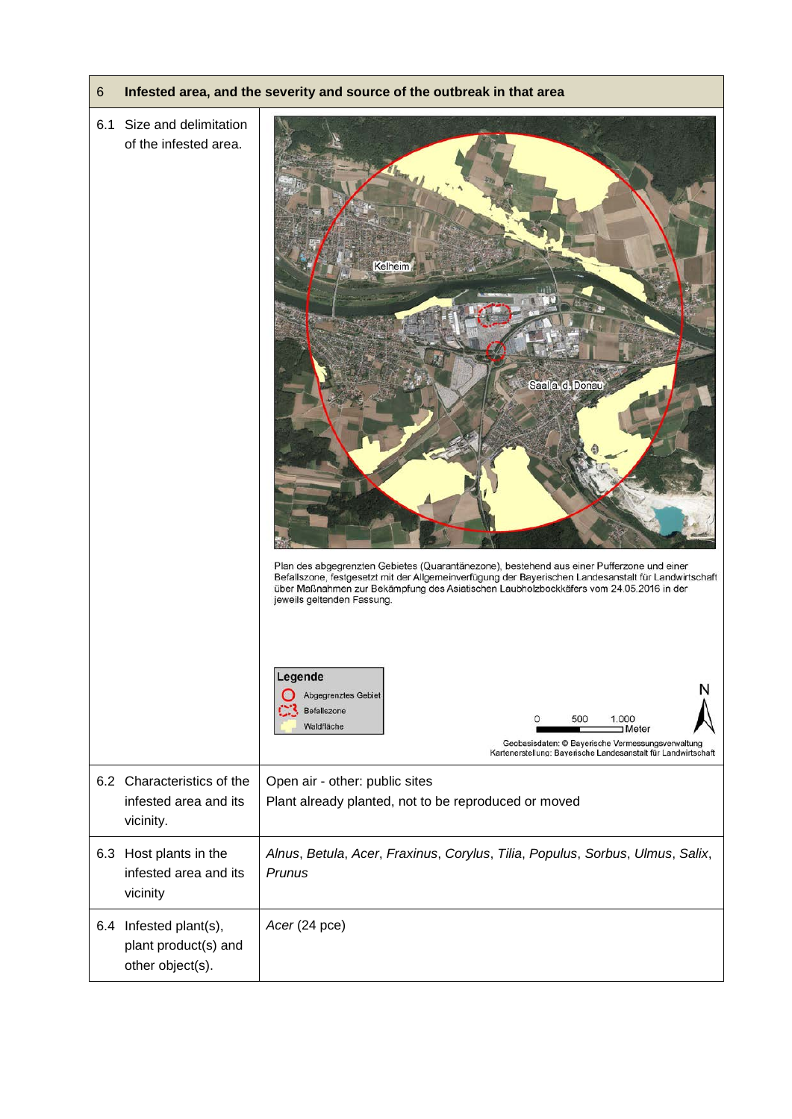## 6 **Infested area, and the severity and source of the outbreak in that area**

## 6.1 Size and delimitation of the infested area. Saala d. Donau Plan des abgegrenzten Gebietes (Quarantänezone), bestehend aus einer Pufferzone und einer Befallszone, festgesetzt mit der Allgemeinverfügung der Bayerischen Landesanstalt für Landwirtschaft über Maßnahmen zur Bekämpfung des Asiatischen Laubholzbockkäfers vom 24.05.2016 in der jeweils geltenden Fassung Legende Abgegrenztes Gebiet Befallszone 500 1.000 Waldfläche I Meter Geobasisdaten: © Baverische Vermessungsverwaltung Kartenerstellung: Bayerische Landesanstalt für Landwirtschaft 6.2 Characteristics of the Open air - other: public sites infested area and its Plant already planted, not to be reproduced or moved vicinity. 6.3 Host plants in the *Alnus*, *Betula*, *Acer*, *Fraxinus*, *Corylus*, *Tilia*, *Populus*, *Sorbus*, *Ulmus*, *Salix*, infested area and its *Prunus* vicinity 6.4 Infested plant(s), *Acer* (24 pce)plant product(s) and other object(s).